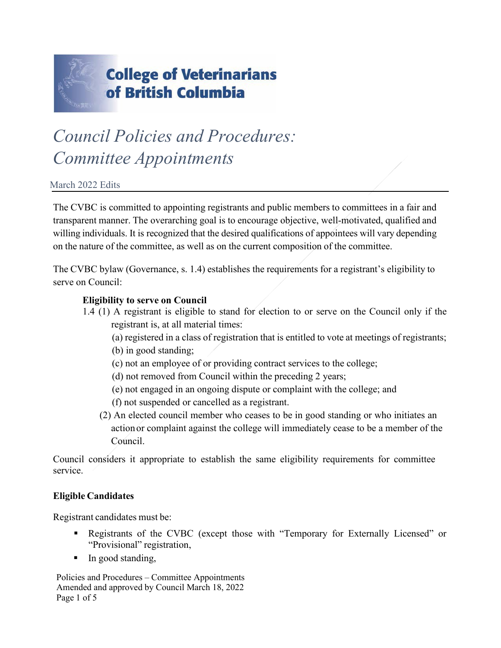

# *Council Policies and Procedures: Committee Appointments*

#### March 2022 Edits

The CVBC is committed to appointing registrants and public members to committees in a fair and transparent manner. The overarching goal is to encourage objective, well-motivated, qualified and willing individuals. It is recognized that the desired qualifications of appointees will vary depending on the nature of the committee, as well as on the current composition of the committee.

The CVBC bylaw (Governance, s. 1.4) establishes the requirements for a registrant's eligibility to serve on Council:

#### **Eligibility to serve on Council**

- 1.4 (1) A registrant is eligible to stand for election to or serve on the Council only if the registrant is, at all material times:
	- (a) registered in a class of registration that is entitled to vote at meetings of registrants;
	- (b) in good standing;
	- (c) not an employee of or providing contract services to the college;
	- (d) not removed from Council within the preceding 2 years;
	- (e) not engaged in an ongoing dispute or complaint with the college; and
	- (f) not suspended or cancelled as a registrant.
	- (2) An elected council member who ceases to be in good standing or who initiates an action or complaint against the college will immediately cease to be a member of the Council.

Council considers it appropriate to establish the same eligibility requirements for committee service.

#### **Eligible Candidates**

Registrant candidates must be:

- Registrants of the CVBC (except those with "Temporary for Externally Licensed" or "Provisional" registration,
- In good standing,

Policies and Procedures – Committee Appointments Amended and approved by Council March 18, 2022 Page 1 of 5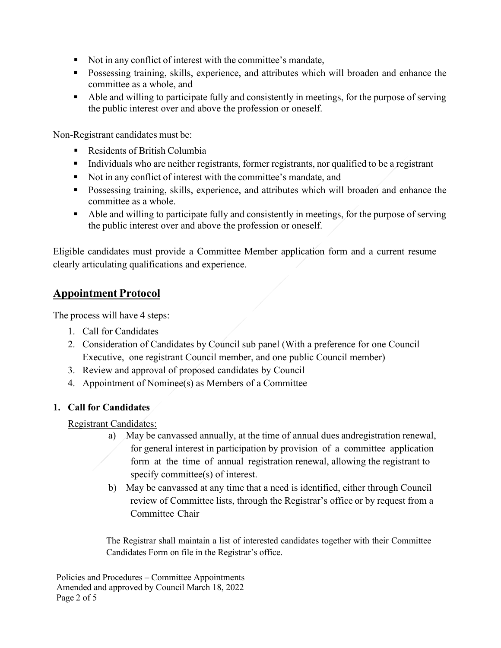- Not in any conflict of interest with the committee's mandate,
- **Possessing training, skills, experience, and attributes which will broaden and enhance the** committee as a whole, and
- Able and willing to participate fully and consistently in meetings, for the purpose of serving the public interest over and above the profession or oneself.

Non-Registrant candidates must be:

- Residents of British Columbia
- Individuals who are neither registrants, former registrants, nor qualified to be a registrant
- Not in any conflict of interest with the committee's mandate, and
- **Possessing training, skills, experience, and attributes which will broaden and enhance the** committee as a whole.
- Able and willing to participate fully and consistently in meetings, for the purpose of serving the public interest over and above the profession or oneself.

Eligible candidates must provide a Committee Member application form and a current resume clearly articulating qualifications and experience.

## **Appointment Protocol**

The process will have 4 steps:

- 1. Call for Candidates
- 2. Consideration of Candidates by Council sub panel (With a preference for one Council Executive, one registrant Council member, and one public Council member)
- 3. Review and approval of proposed candidates by Council
- 4. Appointment of Nominee(s) as Members of a Committee

### **1. Call for Candidates**

Registrant Candidates:

- a) May be canvassed annually, at the time of annual dues andregistration renewal, for general interest in participation by provision of a committee application form at the time of annual registration renewal, allowing the registrant to specify committee(s) of interest.
- b) May be canvassed at any time that a need is identified, either through Council review of Committee lists, through the Registrar's office or by request from a Committee Chair

The Registrar shall maintain a list of interested candidates together with their Committee Candidates Form on file in the Registrar's office.

Policies and Procedures – Committee Appointments Amended and approved by Council March 18, 2022 Page 2 of 5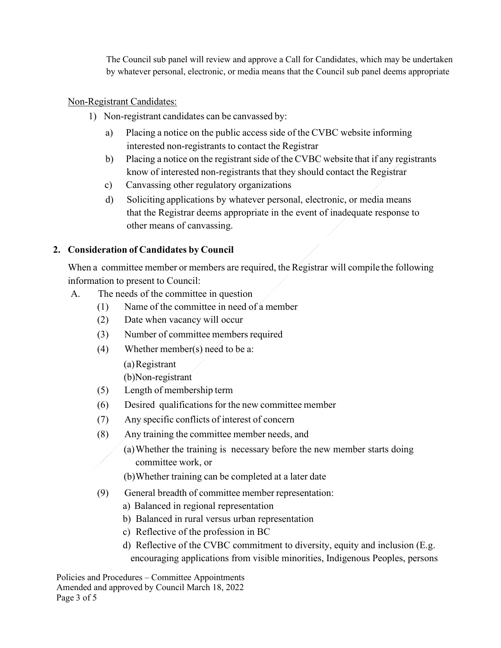The Council sub panel will review and approve a Call for Candidates, which may be undertaken by whatever personal, electronic, or media means that the Council sub panel deems appropriate

#### Non-Registrant Candidates:

- 1) Non-registrant candidates can be canvassed by:
	- a) Placing a notice on the public access side of the CVBC website informing interested non-registrants to contact the Registrar
	- b) Placing a notice on the registrant side of the CVBC website that if any registrants know of interested non-registrants that they should contact the Registrar
	- c) Canvassing other regulatory organizations
	- d) Soliciting applications by whatever personal, electronic, or media means that the Registrar deems appropriate in the event of inadequate response to other means of canvassing.

#### **2. Consideration of Candidates by Council**

When a committee member or members are required, the Registrar will compile the following information to present to Council:

- A. The needs of the committee in question
	- (1) Name of the committee in need of a member
	- (2) Date when vacancy will occur
	- (3) Number of committee members required
	- (4) Whether member(s) need to be a:

(a)Registrant

(b)Non-registrant

- (5) Length of membership term
- (6) Desired qualifications for the new committee member
- (7) Any specific conflicts of interest of concern
- (8) Any training the committee member needs, and
	- (a)Whether the training is necessary before the new member starts doing committee work, or
	- (b)Whether training can be completed at a later date
- (9) General breadth of committee member representation:
	- a) Balanced in regional representation
	- b) Balanced in rural versus urban representation
	- c) Reflective of the profession in BC
	- d) Reflective of the CVBC commitment to diversity, equity and inclusion (E.g. encouraging applications from visible minorities, Indigenous Peoples, persons

Policies and Procedures – Committee Appointments Amended and approved by Council March 18, 2022 Page 3 of 5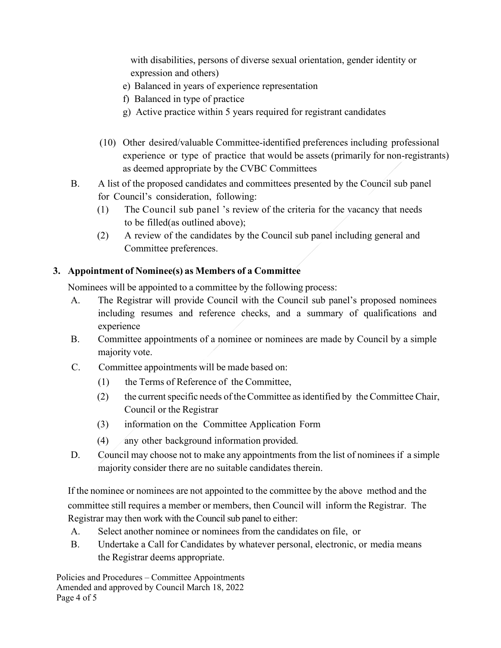with disabilities, persons of diverse sexual orientation, gender identity or expression and others)

- e) Balanced in years of experience representation
- f) Balanced in type of practice
- g) Active practice within 5 years required for registrant candidates
- (10) Other desired/valuable Committee-identified preferences including professional experience or type of practice that would be assets (primarily for non-registrants) as deemed appropriate by the CVBC Committees
- B. A list of the proposed candidates and committees presented by the Council sub panel for Council's consideration, following:
	- (1) The Council sub panel 's review of the criteria for the vacancy that needs to be filled(as outlined above);
	- (2) A review of the candidates by the Council sub panel including general and Committee preferences.

#### **3. Appointment of Nominee(s) as Members of a Committee**

Nominees will be appointed to a committee by the following process:

- A. The Registrar will provide Council with the Council sub panel's proposed nominees including resumes and reference checks, and a summary of qualifications and experience
- B. Committee appointments of a nominee or nominees are made by Council by a simple majority vote.
- C. Committee appointments will be made based on:
	- (1) the Terms of Reference of the Committee,
	- $(2)$  the current specific needs of the Committee as identified by the Committee Chair, Council or the Registrar
	- (3) information on the Committee Application Form
	- (4) any other background information provided.
- D. Council may choose not to make any appointments from the list of nominees if a simple majority consider there are no suitable candidates therein.

If the nominee or nominees are not appointed to the committee by the above method and the committee still requires a member or members, then Council will inform the Registrar. The Registrar may then work with the Council sub panel to either:

- A. Select another nominee or nominees from the candidates on file, or
- B. Undertake a Call for Candidates by whatever personal, electronic, or media means the Registrar deems appropriate.

Policies and Procedures – Committee Appointments Amended and approved by Council March 18, 2022 Page 4 of 5